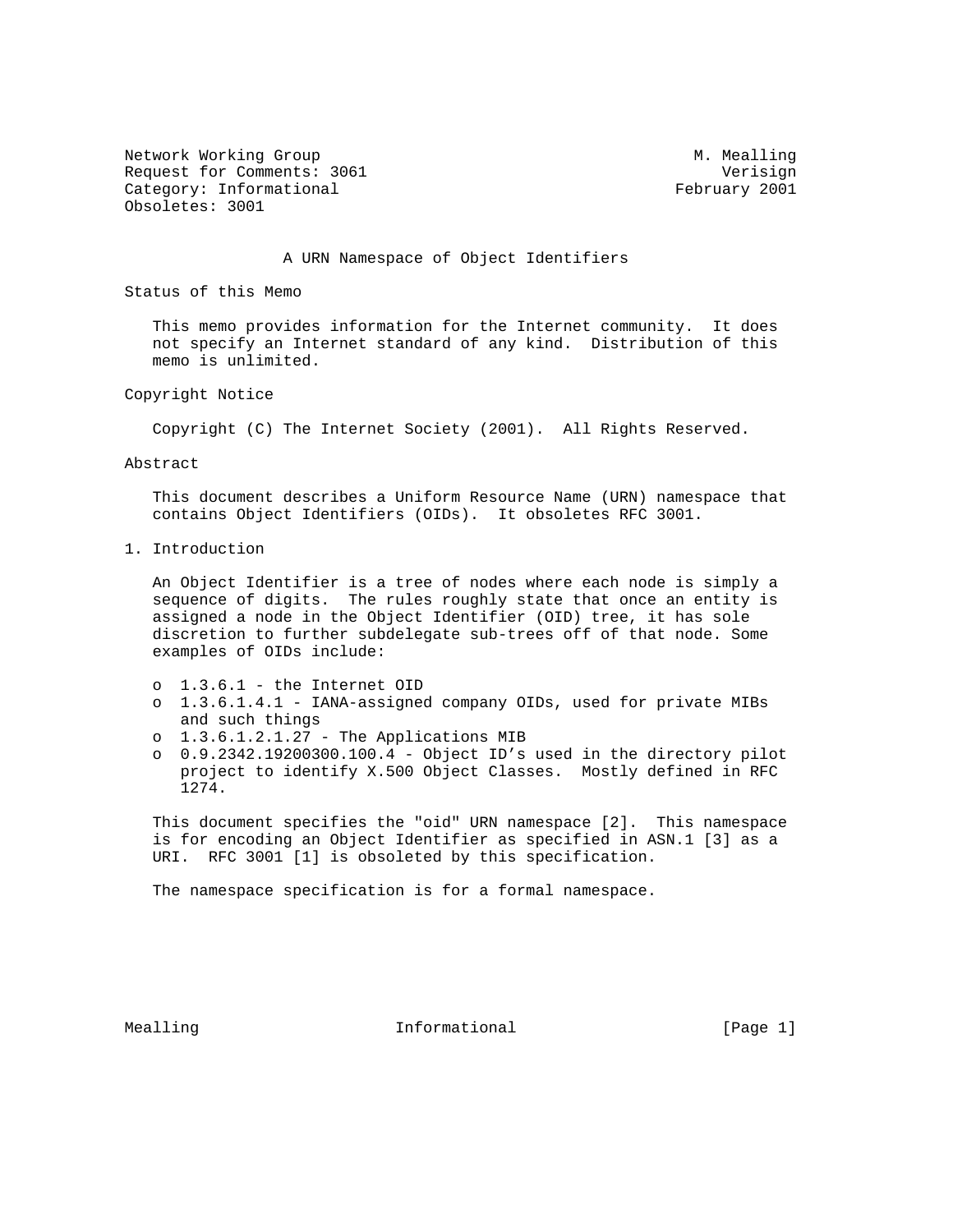Network Working Group and Month Communications of M. Mealling Request for Comments: 3061 Verisign Category: Informational example of the control of the February 2001 Obsoletes: 3001

## A URN Namespace of Object Identifiers

Status of this Memo

 This memo provides information for the Internet community. It does not specify an Internet standard of any kind. Distribution of this memo is unlimited.

Copyright Notice

Copyright (C) The Internet Society (2001). All Rights Reserved.

Abstract

 This document describes a Uniform Resource Name (URN) namespace that contains Object Identifiers (OIDs). It obsoletes RFC 3001.

1. Introduction

 An Object Identifier is a tree of nodes where each node is simply a sequence of digits. The rules roughly state that once an entity is assigned a node in the Object Identifier (OID) tree, it has sole discretion to further subdelegate sub-trees off of that node. Some examples of OIDs include:

- o 1.3.6.1 the Internet OID
- o 1.3.6.1.4.1 IANA-assigned company OIDs, used for private MIBs and such things
- o 1.3.6.1.2.1.27 The Applications MIB
- o 0.9.2342.19200300.100.4 Object ID's used in the directory pilot project to identify X.500 Object Classes. Mostly defined in RFC 1274.

 This document specifies the "oid" URN namespace [2]. This namespace is for encoding an Object Identifier as specified in ASN.1 [3] as a URI. RFC 3001 [1] is obsoleted by this specification.

The namespace specification is for a formal namespace.

Mealling **Informational Informational** [Page 1]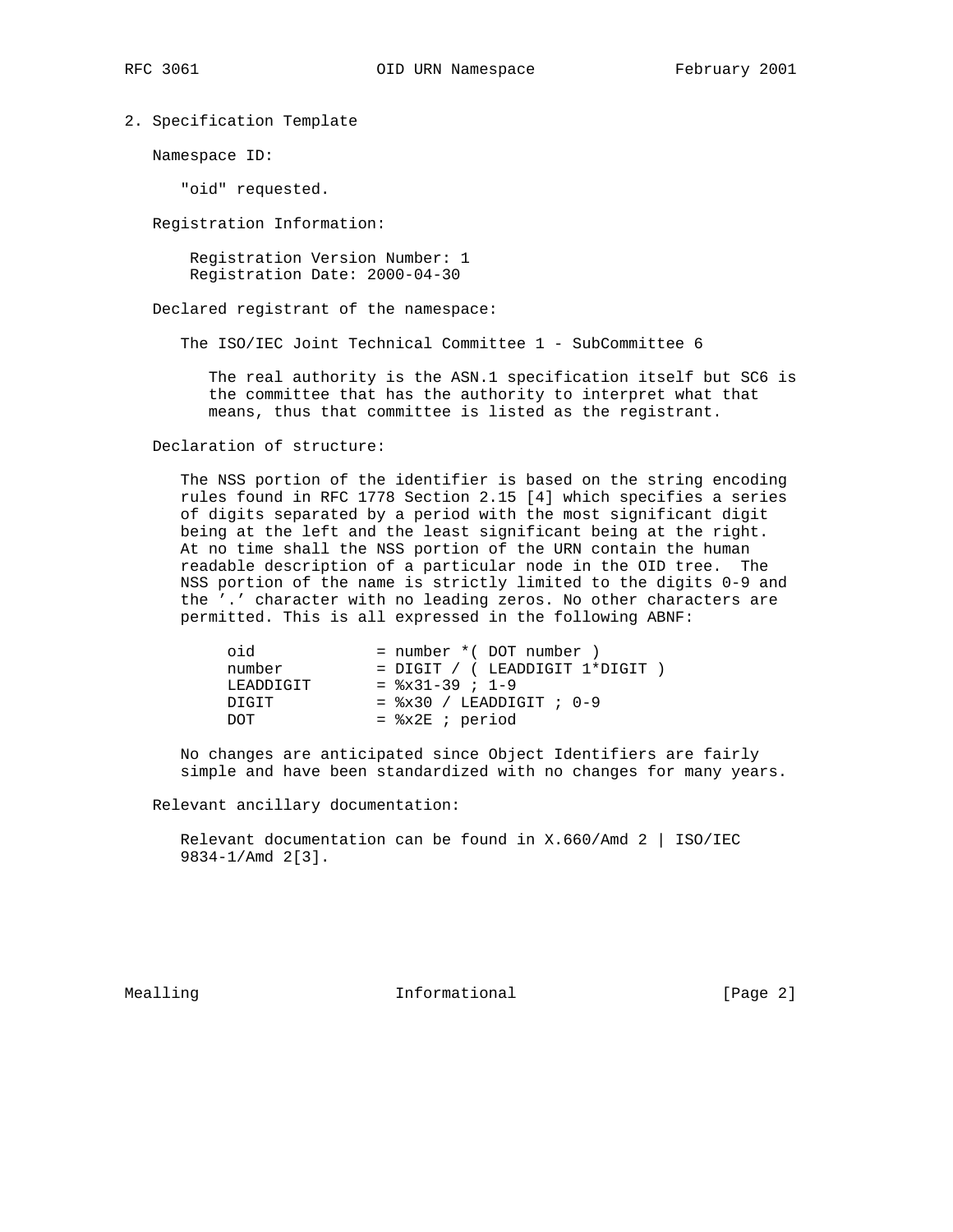2. Specification Template

Namespace ID:

"oid" requested.

Registration Information:

 Registration Version Number: 1 Registration Date: 2000-04-30

Declared registrant of the namespace:

The ISO/IEC Joint Technical Committee 1 - SubCommittee 6

 The real authority is the ASN.1 specification itself but SC6 is the committee that has the authority to interpret what that means, thus that committee is listed as the registrant.

Declaration of structure:

 The NSS portion of the identifier is based on the string encoding rules found in RFC 1778 Section 2.15 [4] which specifies a series of digits separated by a period with the most significant digit being at the left and the least significant being at the right. At no time shall the NSS portion of the URN contain the human readable description of a particular node in the OID tree. The NSS portion of the name is strictly limited to the digits 0-9 and the '.' character with no leading zeros. No other characters are permitted. This is all expressed in the following ABNF:

| oid       | $=$ number $*($ DOT number $)$         |
|-----------|----------------------------------------|
| number    | $=$ DIGIT / ( LEADDIGIT $1*$ DIGIT )   |
| LEADDIGIT | $=$ $\frac{1}{2} \times 31 - 39$ ; 1-9 |
| DIGIT     | $=$ $x30 /$ LEADDIGIT ; 0-9            |
| יחרת      | $=$ $x2E$ ; period                     |

 No changes are anticipated since Object Identifiers are fairly simple and have been standardized with no changes for many years.

Relevant ancillary documentation:

Relevant documentation can be found in X.660/Amd  $2$  | ISO/IEC 9834-1/Amd 2[3].

Mealling 10 and 10 millional 11 million in the UP of the Mean of the Mean of the Mean of the Informational 10 million in the UP of the Mean of the Mean of the Mean of the Mean of the Mean of the Mean of the Mean of the Mea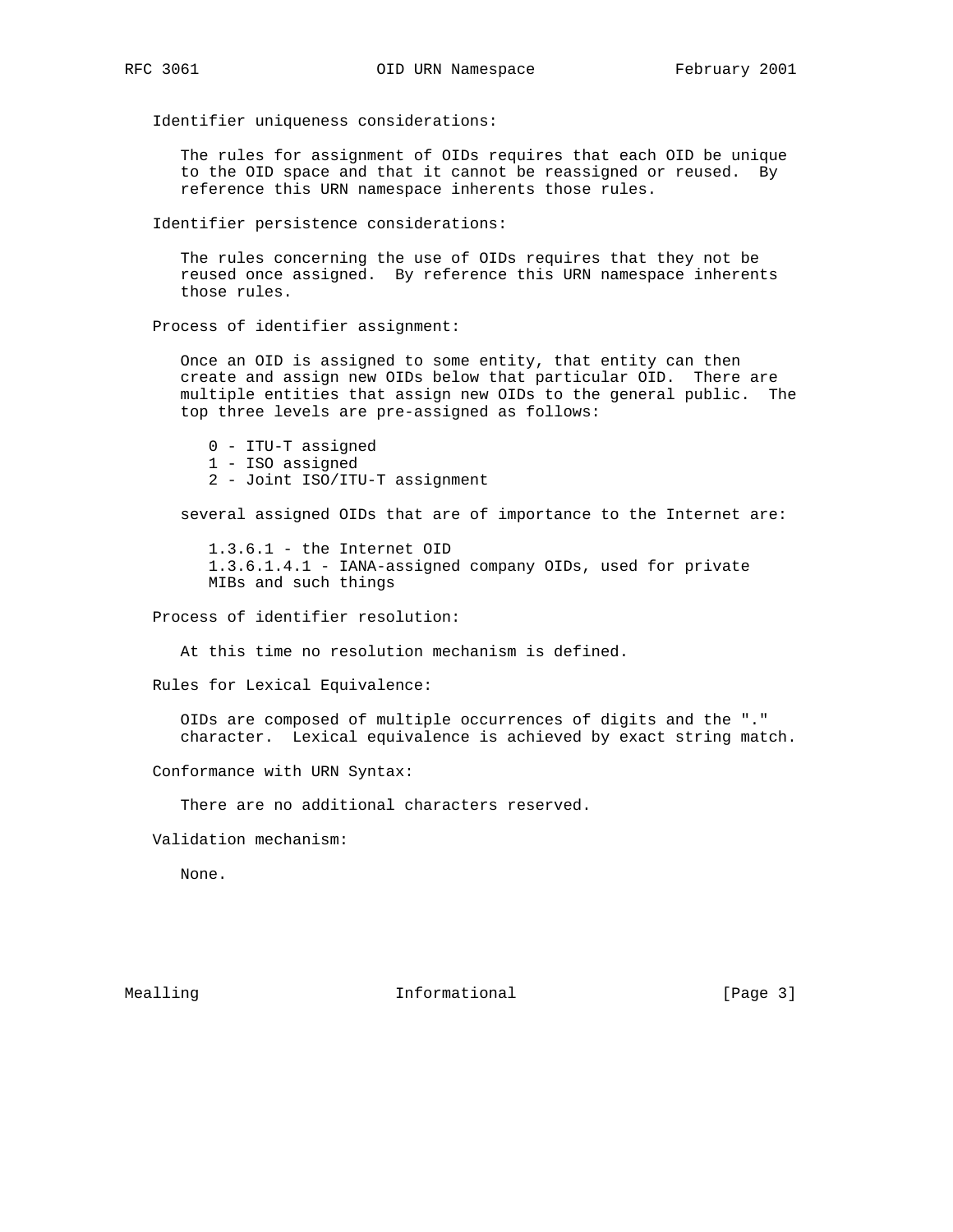Identifier uniqueness considerations:

 The rules for assignment of OIDs requires that each OID be unique to the OID space and that it cannot be reassigned or reused. By reference this URN namespace inherents those rules.

Identifier persistence considerations:

 The rules concerning the use of OIDs requires that they not be reused once assigned. By reference this URN namespace inherents those rules.

Process of identifier assignment:

 Once an OID is assigned to some entity, that entity can then create and assign new OIDs below that particular OID. There are multiple entities that assign new OIDs to the general public. The top three levels are pre-assigned as follows:

 0 - ITU-T assigned 1 - ISO assigned 2 - Joint ISO/ITU-T assignment

several assigned OIDs that are of importance to the Internet are:

 1.3.6.1 - the Internet OID 1.3.6.1.4.1 - IANA-assigned company OIDs, used for private MIBs and such things

Process of identifier resolution:

At this time no resolution mechanism is defined.

Rules for Lexical Equivalence:

 OIDs are composed of multiple occurrences of digits and the "." character. Lexical equivalence is achieved by exact string match.

Conformance with URN Syntax:

There are no additional characters reserved.

Validation mechanism:

None.

Mealling 10 and 10 millional 11 million in the UP of the Mean of the Mean of the Mean of the Informational 10 million in the UP of the Mean of the Mean of the Mean of the Mean of the Mean of the Mean of the Mean of the Mea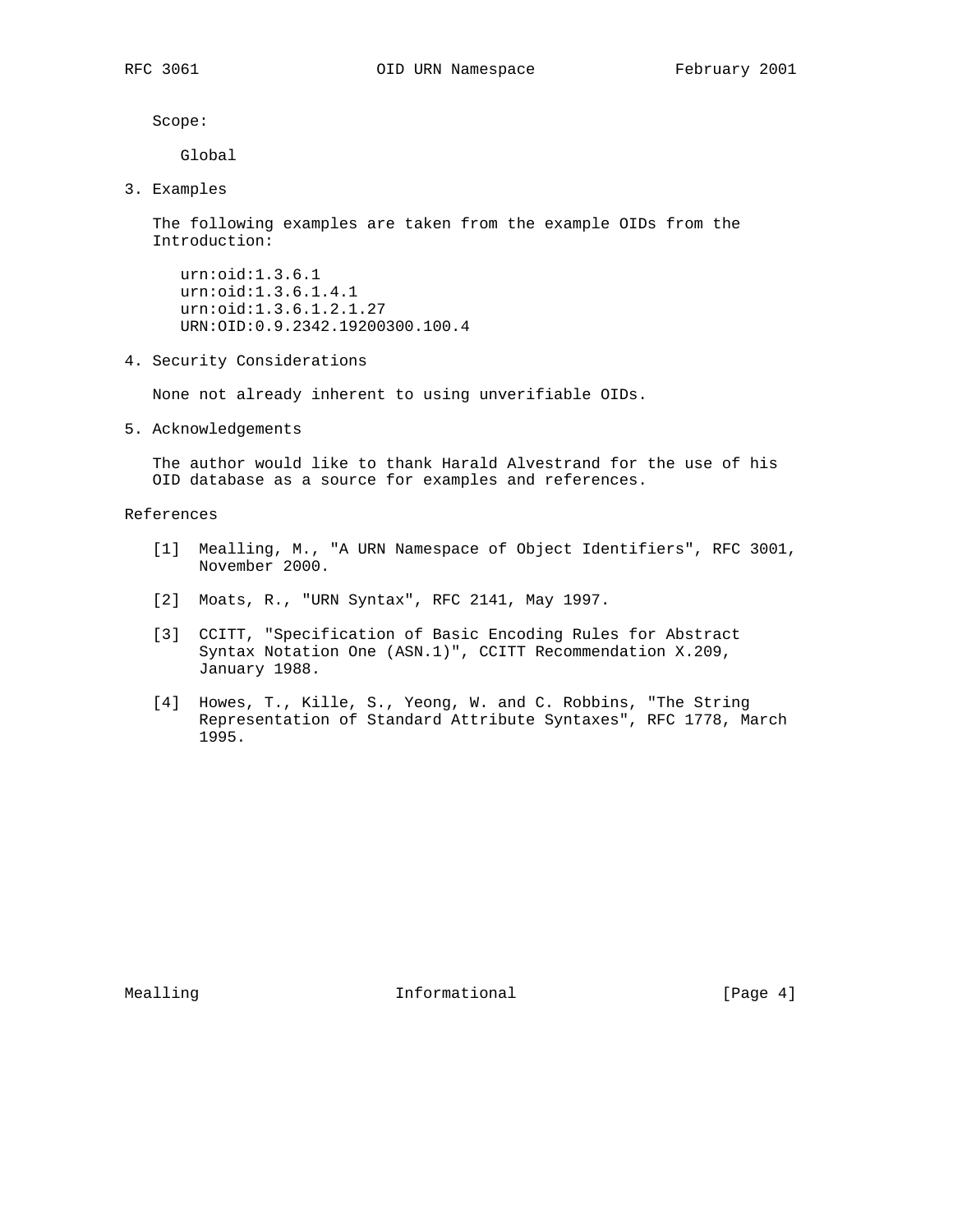Scope:

Global

3. Examples

 The following examples are taken from the example OIDs from the Introduction:

 urn:oid:1.3.6.1 urn:oid:1.3.6.1.4.1 urn:oid:1.3.6.1.2.1.27 URN:OID:0.9.2342.19200300.100.4

4. Security Considerations

None not already inherent to using unverifiable OIDs.

5. Acknowledgements

 The author would like to thank Harald Alvestrand for the use of his OID database as a source for examples and references.

## References

- [1] Mealling, M., "A URN Namespace of Object Identifiers", RFC 3001, November 2000.
- [2] Moats, R., "URN Syntax", RFC 2141, May 1997.
- [3] CCITT, "Specification of Basic Encoding Rules for Abstract Syntax Notation One (ASN.1)", CCITT Recommendation X.209, January 1988.
- [4] Howes, T., Kille, S., Yeong, W. and C. Robbins, "The String Representation of Standard Attribute Syntaxes", RFC 1778, March 1995.

Mealling **Informational Informational** [Page 4]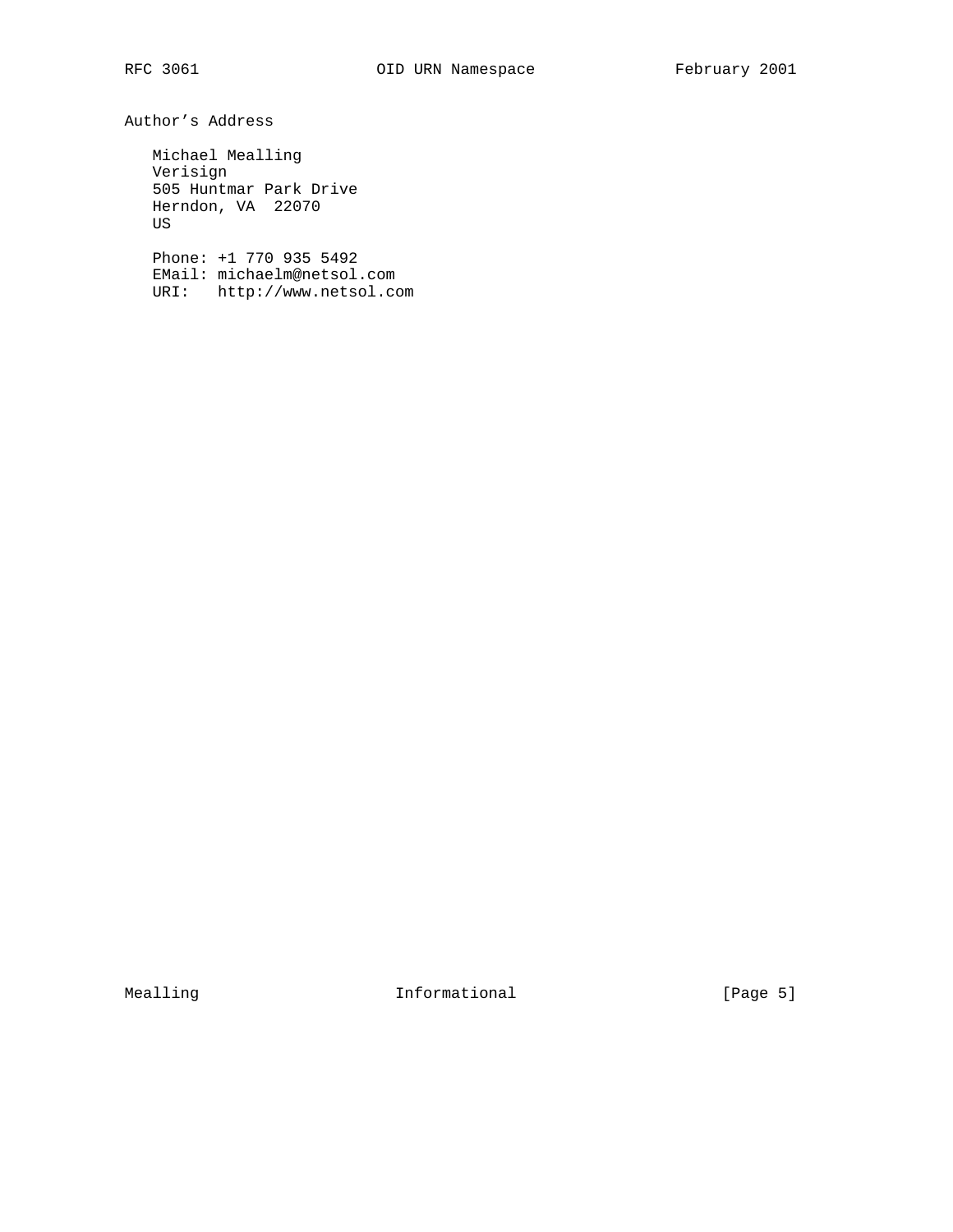Author's Address

 Michael Mealling Verisign 505 Huntmar Park Drive Herndon, VA 22070 US

 Phone: +1 770 935 5492 EMail: michaelm@netsol.com URI: http://www.netsol.com

Mealling 10 Informational 10 Informational [Page 5]